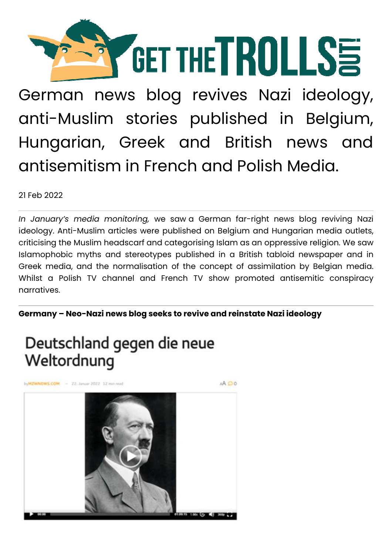

German news blog revives Nazi ideology, anti-Muslim stories published in Belgium, Hungarian, Greek and British news and antisemitism in French and Polish Media.

21 Feb 2022

*In January's media monitoring,* we saw a German far-right news blog reviving Nazi ideology. Anti-Muslim articles were published on Belgium and Hungarian media outlets, criticising the Muslim headscarf and categorising Islam as an oppressive religion. We saw Islamophobic myths and stereotypes published in a British tabloid newspaper and in Greek media, and the normalisation of the concept of assimilation by Belgian media. Whilst a Polish TV channel and French TV show promoted antisemitic conspiracy narratives.

**Germany – Neo-Nazi news blog seeks to revive and reinstate Nazi ideology** 

# Deutschland gegen die neue Weltordnung

MZWNEWS.COM - 22. Januar 2022 12 min read A OO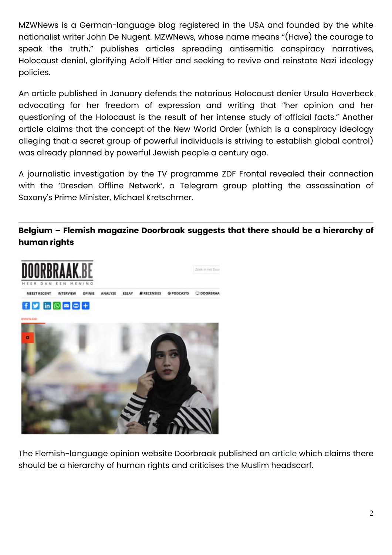MZWNews is a German-language blog registered in the USA and founded by the white nationalist writer John De Nugent. MZWNews, whose name means "(Have) the courage to speak the truth," publishes articles spreading antisemitic conspiracy narratives, Holocaust denial, glorifying Adolf Hitler and seeking to revive and reinstate Nazi ideology policies.

An article published in January defends the notorious Holocaust denier Ursula Haverbeck advocating for her freedom of expression and writing that "her opinion and her questioning of the Holocaust is the result of her intense study of official facts." Another article claims that the concept of the New World Order (which is a conspiracy ideology alleging that a secret group of powerful individuals is striving to establish global control) was already planned by powerful Jewish people a century ago.

A journalistic investigation by the TV programme ZDF Frontal revealed their connection with the 'Dresden Offline Network', a Telegram group plotting the assassination of Saxony's Prime Minister, Michael Kretschmer.

## **Belgium – Flemish magazine Doorbraak suggests that there should be a hierarchy of human rights**



The Flemish-language opinion website Doorbraak published an article which claims there should be a hierarchy of human rights and criticises the Muslim headscarf.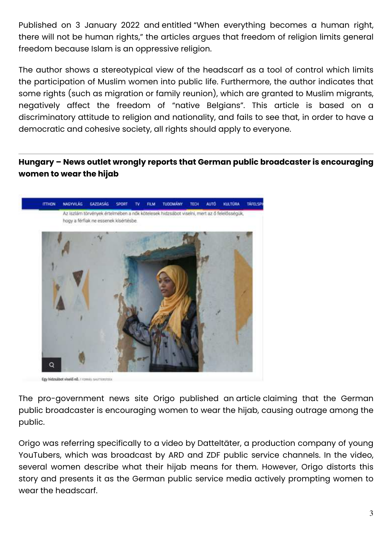Published on 3 January 2022 and entitled "When everything becomes a human right, there will not be human rights," the articles argues that freedom of religion limits general freedom because Islam is an oppressive religion.

The author shows a stereotypical view of the headscarf as a tool of control which limits the participation of Muslim women into public life. Furthermore, the author indicates that some rights (such as migration or family reunion), which are granted to Muslim migrants, negatively affect the freedom of "native Belgians". This article is based on a discriminatory attitude to religion and nationality, and fails to see that, in order to have a democratic and cohesive society, all rights should apply to everyone.

**Hungary – News outlet wrongly reports that German public broadcaster is encouraging women to wear the hijab** 



The pro-government news site Origo published an article claiming that the German public broadcaster is encouraging women to wear the hijab, causing outrage among the public.

Origo was referring specifically to a video by Datteltäter, a production company of young YouTubers, which was broadcast by ARD and ZDF public service channels. In the video, several women describe what their hijab means for them. However, Origo distorts this story and presents it as the German public service media actively prompting women to wear the headscarf.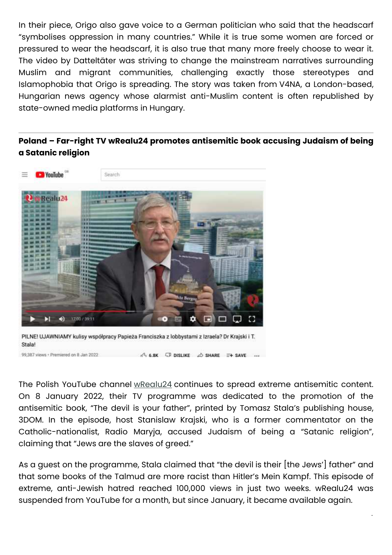In their piece, Origo also gave voice to a German politician who said that the headscarf "symbolises oppression in many countries." While it is true some women are forced or pressured to wear the headscarf, it is also true that many more freely choose to wear it. The video by Datteltäter was striving to change the mainstream narratives surrounding Muslim and migrant communities, challenging exactly those stereotypes and Islamophobia that Origo is spreading. The story was taken from V4NA, a London-based, Hungarian news agency whose alarmist anti-Muslim content is often republished by state-owned media platforms in Hungary.

### **Poland – Far-right TV wRealu24 promotes antisemitic book accusing Judaism of being a Satanic religion**



99,387 views - Premiered on 8 Jan 2022  $n^2$ <sub>1</sub> 6.8K  $\Box$  DISLIKE  $\triangle$  SHARE  $\Xi$  + SAVE ...

The Polish YouTube channel wRealu24 continues to spread extreme antisemitic content. On 8 January 2022, their TV programme was dedicated to the promotion of the antisemitic book, "The devil is your father", printed by Tomasz Stala's publishing house, 3DOM. In the episode, host Stanislaw Krajski, who is a former commentator on the Catholic-nationalist, Radio Maryja, accused Judaism of being a "Satanic religion", claiming that "Jews are the slaves of greed."

As a guest on the programme, Stala claimed that "the devil is their [the Jews'] father" and that some books of the Talmud are more racist than Hitler's Mein Kampf. This episode of extreme, anti-Jewish hatred reached 100,000 views in just two weeks. wRealu24 was suspended from YouTube for a month, but since January, it became available again.

 $\mathbf{A}$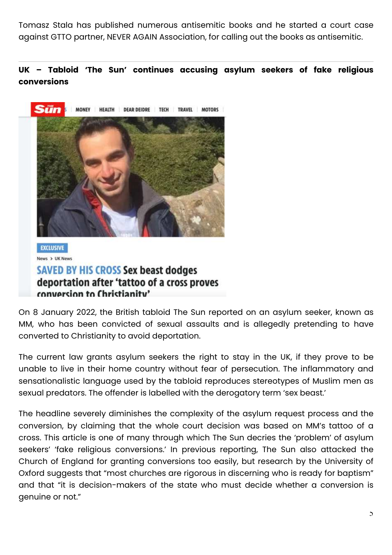Tomasz Stala has published numerous antisemitic books and he started a court case against GTTO partner, NEVER AGAIN Association, for calling out the books as antisemitic.

### **UK – Tabloid 'The Sun' continues accusing asylum seekers of fake religious conversions**



**SAVED BY HIS CROSS Sex beast dodges** deportation after 'tattoo of a cross proves conversion to Christianity'

On 8 January 2022, the British tabloid The Sun reported on an asylum seeker, known as MM, who has been convicted of sexual assaults and is allegedly pretending to have converted to Christianity to avoid deportation.

The current law grants asylum seekers the right to stay in the UK, if they prove to be unable to live in their home country without fear of persecution. The inflammatory and sensationalistic language used by the tabloid reproduces stereotypes of Muslim men as sexual predators. The offender is labelled with the derogatory term 'sex beast.'

The headline severely diminishes the complexity of the asylum request process and the conversion, by claiming that the whole court decision was based on MM's tattoo of a cross. This article is one of many through which The Sun decries the 'problem' of asylum seekers' 'fake religious conversions.' In previous reporting, The Sun also attacked the Church of England for granting conversions too easily, but research by the University of Oxford suggests that "most churches are rigorous in discerning who is ready for baptism" and that "it is decision-makers of the state who must decide whether a conversion is genuine or not."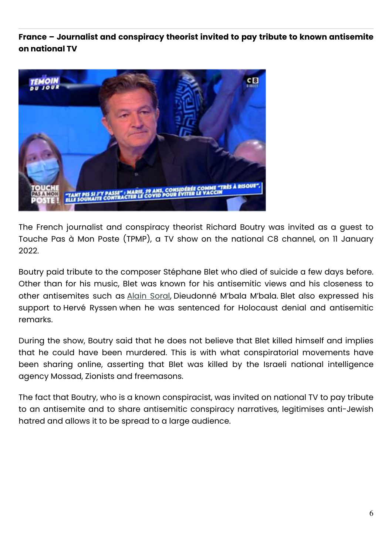**France – Journalist and conspiracy theorist invited to pay tribute to known antisemite on national TV** 



The French journalist and conspiracy theorist Richard Boutry was invited as a guest to Touche Pas à Mon Poste (TPMP), a TV show on the national C8 channel, on 11 January 2022.

Boutry paid tribute to the composer Stéphane Blet who died of suicide a few days before. Other than for his music, Blet was known for his antisemitic views and his closeness to other antisemites such as Alain Soral, Dieudonné M'bala M'bala. Blet also expressed his support to Hervé Ryssen when he was sentenced for Holocaust denial and antisemitic remarks.

During the show, Boutry said that he does not believe that Blet killed himself and implies that he could have been murdered. This is with what conspiratorial movements have been sharing online, asserting that Blet was killed by the Israeli national intelligence agency Mossad, Zionists and freemasons.

The fact that Boutry, who is a known conspiracist, was invited on national TV to pay tribute to an antisemite and to share antisemitic conspiracy narratives, legitimises anti-Jewish hatred and allows it to be spread to a large audience.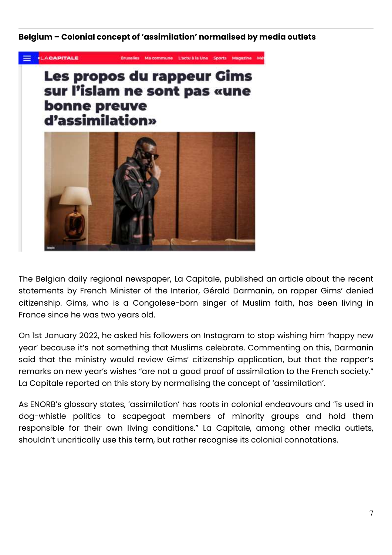#### **Belgium – Colonial concept of 'assimilation' normalised by media outlets**



The Belgian daily regional newspaper, La Capitale, published an article about the recent statements by French Minister of the Interior, Gérald Darmanin, on rapper Gims' denied citizenship. Gims, who is a Congolese-born singer of Muslim faith, has been living in France since he was two years old.

On 1st January 2022, he asked his followers on Instagram to stop wishing him 'happy new year' because it's not something that Muslims celebrate. Commenting on this, Darmanin said that the ministry would review Gims' citizenship application, but that the rapper's remarks on new year's wishes "are not a good proof of assimilation to the French society." La Capitale reported on this story by normalising the concept of 'assimilation'.

As ENORB's glossary states, 'assimilation' has roots in colonial endeavours and "is used in dog-whistle politics to scapegoat members of minority groups and hold them responsible for their own living conditions." La Capitale, among other media outlets, shouldn't uncritically use this term, but rather recognise its colonial connotations.